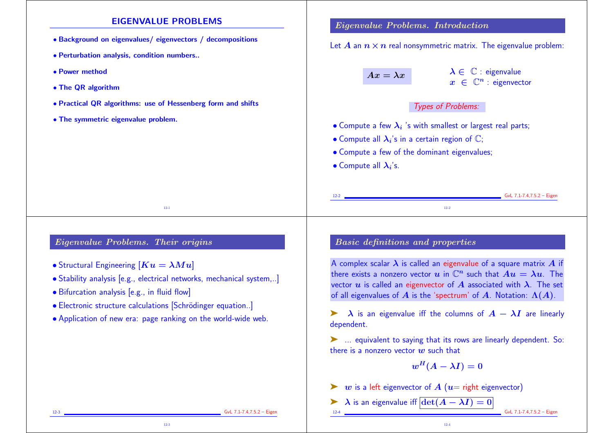## EIGENVALUE PROBLEMS

- Background on eigenvalues/ eigenvectors / decompositions
- Perturbation analysis, condition numbers..
- Power method
- The QR algorithm
- Practical QR algorithms: use of Hessenberg form and shifts
- The symmetric eigenvalue problem.

## Eigenvalue Problems. Introduction

Let A an  $n \times n$  real nonsymmetric matrix. The eigenvalue problem:

 $Ax = \lambda x$   $\lambda \in \mathbb{C}$  : eigenvalue  $x \in \mathbb{C}^n$  : eigenvector

## Types of Problems:

- $\bullet$  Compute a few  $\lambda_i$  's with smallest or largest real parts;
- Compute all  $\lambda_i$ 's in a certain region of  $\mathbb{C};$
- Compute a few of the dominant eigenvalues;
- Compute all  $\lambda_i$ 's.

# Eigenvalue Problems. Their origins

- Structural Engineering  $[Ku = \lambda Mu]$
- Stability analysis [e.g., electrical networks, mechanical system,..]

12-1

- Bifurcation analysis [e.g., in fluid flow]
- Electronic structure calculations [Schrödinger equation..]
- Application of new era: page ranking on the world-wide web.

12-3

# Basic definitions and properties

A complex scalar  $\lambda$  is called an eigenvalue of a square matrix  $A$  if there exists a nonzero vector u in  $\mathbb{C}^n$  such that  $Au = \lambda u$ . The vector  $u$  is called an eigenvector of  $A$  associated with  $\lambda$ . The set of all eigenvalues of A is the 'spectrum' of A. Notation:  $\Lambda(A)$ .

12-2

 $\lambda$  is an eigenvalue iff the columns of  $A - \lambda I$  are linearly dependent.

➤ ... equivalent to saying that its rows are linearly dependent. So: there is a nonzero vector  $w$  such that

$$
w^H(A-\lambda I)=0
$$

12-4

- $\triangleright$  w is a left eigenvector of A ( $u=$  right eigenvector)
- A is an eigenvalue iff  $\frac{\det(A \lambda I) = 0}{\det(A \lambda I)}$

 $GvL$  7.1-7.4,7.5.2 – Eigen

12-2 GvL 7.1-7.4,7.5.2 – Eigen

12-3 GvL 7.1-7.4,7.5.2 – Eigen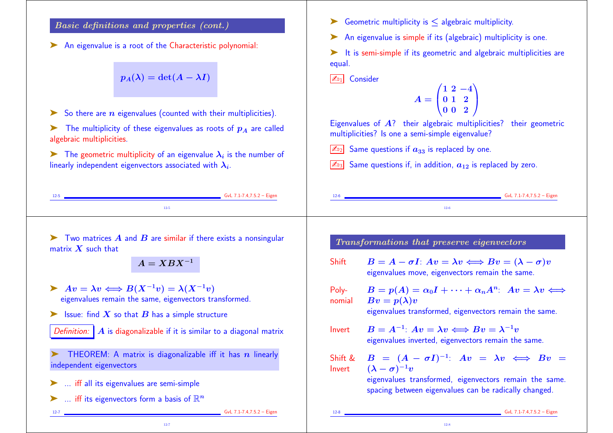# Basic definitions and properties (cont.)

An eigenvalue is a root of the Characteristic polynomial:

$$
p_A(\lambda)=\det(A-\lambda I)
$$

 $\triangleright$  So there are *n* eigenvalues (counted with their multiplicities).

 $\blacktriangleright$  The multiplicity of these eigenvalues as roots of  $p_A$  are called algebraic multiplicities.

 $\blacktriangleright$  The geometric multiplicity of an eigenvalue  $\lambda_i$  is the number of linearly independent eigenvectors associated with  $\boldsymbol{\lambda_i}.$ 

Geometric multiplicity is  $\leq$  algebraic multiplicity.

An eigenvalue is simple if its (algebraic) multiplicity is one.

➤ It is semi-simple if its geometric and algebraic multiplicities are equal.

 $\boxed{\mathbb{Z}_{01}}$  Consider

$$
A=\begin{pmatrix} 1 & 2 & -4 \\ 0 & 1 & 2 \\ 0 & 0 & 2 \end{pmatrix}
$$

Eigenvalues of  $\vec{A}$ ? their algebraic multiplicities? their geometric multiplicities? Is one a semi-simple eigenvalue?

 $\sqrt{2v_2}$  Same questions if  $a_{33}$  is replaced by one.

 $\sqrt{\mathbb{Z}_{33}}$  Same questions if, in addition,  $a_{12}$  is replaced by zero.

| $12 - 5$ | GvL 7.1-7.4,7.5.2 - Eigen | ᆠ | GvL $7.1 - 7.4, 7.5.2$ - Eigen |
|----------|---------------------------|---|--------------------------------|
|          |                           |   |                                |

Two matrices  $\vec{A}$  and  $\vec{B}$  are similar if there exists a nonsingular matrix  $X$  such that

 $A = XBX^{-1}$ 

- $\triangleright$   $Av = \lambda v \Longleftrightarrow B(X^{-1}v) = \lambda (X^{-1}v)$ eigenvalues remain the same, eigenvectors transformed.
- $\blacktriangleright$  Issue: find X so that B has a simple structure
- Definition:  $\mathbf{A}$  is diagonalizable if it is similar to a diagonal matrix

THEOREM: A matrix is diagonalizable iff it has  $n$  linearly independent eigenvectors

- ➤ ... iff all its eigenvalues are semi-simple
- $\blacktriangleright$  ... iff its eigenvectors form a basis of  $\mathbb{R}^n$

Transformations that preserve eigenvectors

- Shift  $B = A \sigma I$ :  $Av = \lambda v \Longleftrightarrow Bv = (\lambda \sigma)v$ eigenvalues move, eigenvectors remain the same.
- Polynomial  $B = p(A) = \alpha_0 I + \cdots + \alpha_n A^n$ :  $Av = \lambda v \Leftrightarrow$  $Bv = p(\lambda)v$

eigenvalues transformed, eigenvectors remain the same.

- Invert  $B = A^{-1}$ :  $Av = \lambda v \Longleftrightarrow Bv = \lambda^{-1}v$ eigenvalues inverted, eigenvectors remain the same.
- Shift & Invert  $B = (A - \sigma I)^{-1}$ :  $Av = \lambda v \iff Bv =$  $(\lambda - \sigma)^{-1}v$

12-8

eigenvalues transformed, eigenvectors remain the same. spacing between eigenvalues can be radically changed.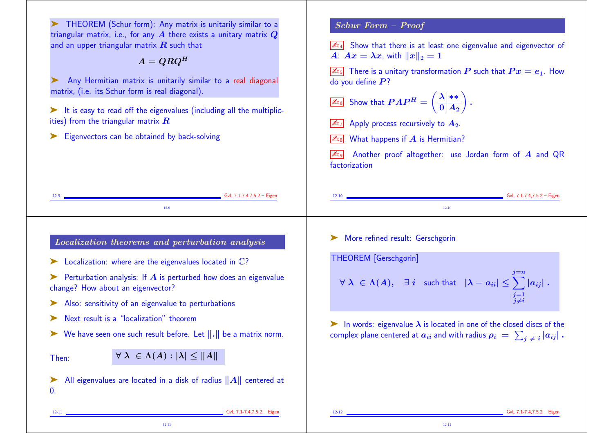➤ THEOREM (Schur form): Any matrix is unitarily similar to a triangular matrix, i.e., for any  $\vec{A}$  there exists a unitary matrix  $\vec{Q}$ and an upper triangular matrix  $\boldsymbol{R}$  such that

 $A = QRQ^H$ 

➤ Any Hermitian matrix is unitarily similar to a real diagonal matrix, (i.e. its Schur form is real diagonal).

 $\blacktriangleright$  It is easy to read off the eigenvalues (including all the multiplicities) from the triangular matrix  $\boldsymbol{R}$ 

12-11

Eigenvectors can be obtained by back-solving

Schur Form – Proof

 $\sqrt{\mathbb{Z}_{D4}}$  Show that there is at least one eigenvalue and eigenvector of A:  $Ax = \lambda x$ , with  $||x||_2 = 1$ 

 $\boxed{\mathbb{Z}_{15}}$  There is a unitary transformation  $P$  such that  $Px = e_1$ . How do you define  $P$ ?

 $\mathbb{Z}_{^{16}}$  Show that  $PAP^{H} = \left( \begin{array}{c} 0 \end{array} \right)$  $\left(\frac{\lambda \mid **}{\cdot}\right)$  $\mathbf{0} \vert \boldsymbol{A_2} \rangle$  $\sum_{i=1}^{n}$ .

 $\boxed{\mathbb{Z}_{\text{D7}}}$  Apply process recursively to  $A_2$ .

What happens if  $A$  is Hermitian?

Another proof altogether: use Jordan form of  $\bm{A}$  and QR factorization

12-12

12-9 GvL 7.1-7.4,7.5.2 – Eigen 12-9 12-10 GvL 7.1-7.4,7.5.2 – Eigen 12-10 Localization theorems and perturbation analysis  $\blacktriangleright$  Localization: where are the eigenvalues located in  $\mathbb{C}$ ?  $\triangleright$  Perturbation analysis: If  $\vec{A}$  is perturbed how does an eigenvalue change? How about an eigenvector? Also: sensitivity of an eigenvalue to perturbations Next result is a "localization" theorem We have seen one such result before. Let  $\|.\|$  be a matrix norm. Then:  $\forall \lambda \in \Lambda(A) : |\lambda| \leq ||A||$  $\blacktriangleright$  All eigenvalues are located in a disk of radius  $||A||$  centered at  $\mathbf{0}$ 12-11 GvL 7.1-7.4,7.5.2 – Eigen ➤ More refined result: Gerschgorin THEOREM [Gerschgorin]  $\forall\ \lambda\ \in \Lambda(A),\ \ \exists\ i\ \ \text{such that}\ \ \left|\lambda-a_{ii}\right|\leq \sum\limits_{i=1}^{j=n}\left|a_{ij}\right|$  $j=1$  $j{\neq}i$  $|\bm{a_{ij}}|$  .  $\blacktriangleright$  In words: eigenvalue  $\lambda$  is located in one of the closed discs of the complex plane centered at  $a_{ii}$  and with radius  $\rho_i \ = \ \sum_{j \; \neq \; i} |a_{ij}|$  . 12-12 GvL 7.1-7.4,7.5.2 – Eigen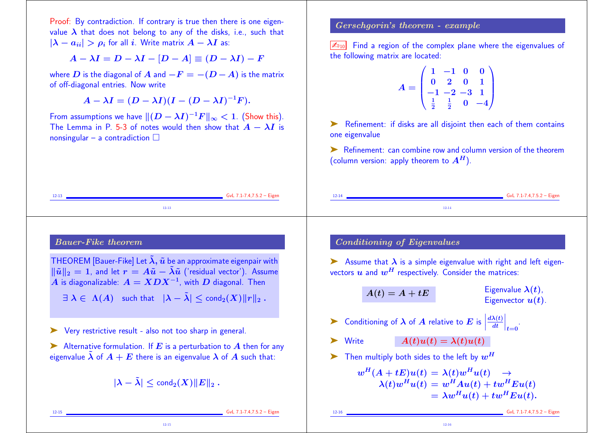Proof: By contradiction. If contrary is true then there is one eigenvalue  $\lambda$  that does not belong to any of the disks, i.e., such that  $|\lambda - a_{ii}| > \rho_i$  for all i. Write matrix  $A - \lambda I$  as:

$$
A - \lambda I = D - \lambda I - [D - A] \equiv (D - \lambda I) - F
$$

where D is the diagonal of A and  $-F = -(D - A)$  is the matrix of off-diagonal entries. Now write

 $A - \lambda I = (D - \lambda I)(I - (D - \lambda I)^{-1}F).$ 

From assumptions we have  $||(D - \lambda I)^{-1}F||_{\infty} < 1$ . (Show this). The Lemma in P. 5-3 of notes would then show that  $A - \lambda I$  is nonsingular – a contradiction  $\Box$ 

## Gerschgorin's theorem - example

 $\boxed{\mathbb{Z}_{10}}$  Find a region of the complex plane where the eigenvalues of the following matrix are located:

$$
A = \begin{pmatrix} 1 & -1 & 0 & 0 \\ 0 & 2 & 0 & 1 \\ -1 & -2 & -3 & 1 \\ \frac{1}{2} & \frac{1}{2} & 0 & -4 \end{pmatrix}
$$

➤ Refinement: if disks are all disjoint then each of them contains one eigenvalue

➤ Refinement: can combine row and column version of the theorem (column version: apply theorem to  $A<sup>H</sup>$ ).

12-13 GvL 7.1-7.4,7.5.2 – Eigen 12-13 12-14 **GvL 7.1-7.4,7.5.2 – Eigen** 12-14 Bauer-Fike theorem THEOREM [Bauer-Fike] Let  $\tilde{\lambda}$ ,  $\tilde{u}$  be an approximate eigenpair with  $\|\tilde{u}\|_2 = 1$ , and let  $r = A\tilde{u} - \tilde{\lambda}\tilde{u}$  ('residual vector'). Assume  $A$  is diagonalizable:  $A = XDX^{-1}$ , with  $D$  diagonal. Then  $\exists \lambda \in \Lambda(A)$  such that  $|\lambda - \tilde{\lambda}| \leq \text{cond}_2(X) ||r||_2$ . ➤ Very restrictive result - also not too sharp in general. Alternative formulation. If  $E$  is a perturbation to  $A$  then for any eigenvalue  $\lambda$  of  $A + E$  there is an eigenvalue  $\lambda$  of  $A$  such that:  $|\lambda - \tilde{\lambda}| \leq \text{cond}_2(X) ||E||_2$ . 12-15 GvL 7.1-7.4,7.5.2 – Eigen 12-15 Conditioning of Eigenvalues  $\triangleright$  Assume that  $\lambda$  is a simple eigenvalue with right and left eigenvectors  $u$  and  $w<sup>H</sup>$  respectively. Consider the matrices:  $A(t) = A + tE$  Eigenvalue  $\lambda(t)$ , Eigenvector  $u(t)$ .  $\blacktriangleright$  Conditioning of  $\lambda$  of  $A$  relative to  $E$  is  $\Big|\frac{d}{dt}$  $d\lambda(t)\,|$ dt  $\Big|_{t=0}$ . Write  $A(t)u(t) = \lambda(t)u(t)$ Then multiply both sides to the left by  $w^{H}$  $w^H(A + tE)u(t) = \lambda(t)w^Hu(t) \rightarrow$  $\lambda(t)w^{H}u(t) = w^{H}Au(t) + tw^{H}Eu(t)$  $=\lambda w^H u(t) + t w^H E u(t).$ 12-16 GvL 7.1-7.4,7.5.2 – Eigen 12-16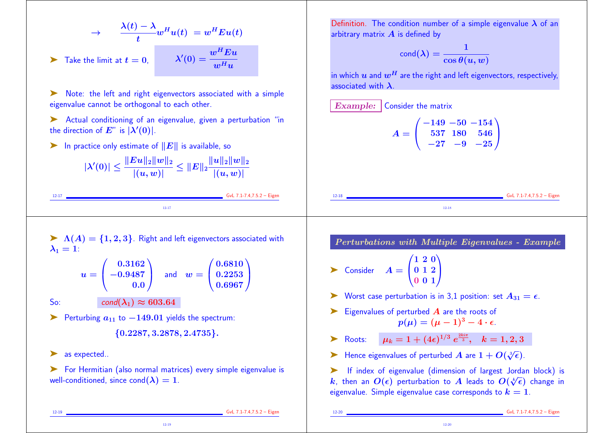$$
\rightarrow \frac{\lambda(t) - \lambda}{t} w^{H} u(t) = w^{H} E u(t)
$$
  
**7** Take the limit at  $t = 0$ , 
$$
\lambda'(0) = \frac{w^{H} E u}{w^{H} u}
$$

Note: the left and right eigenvectors associated with a simple eigenvalue cannot be orthogonal to each other.

➤ Actual conditioning of an eigenvalue, given a perturbation "in the direction of  $E^{\prime\prime}$  is  $|\lambda'(0)|$ .

ightharpoonly estimate of  $||E||$  is available, so

|                                                                             | $\frac{\ Eu\ _2\ w\ _2}{ (u,w) }\leq \ E\ _2\frac{\ u\ _2\ w\ _2}{ (u,w) }.$ |
|-----------------------------------------------------------------------------|------------------------------------------------------------------------------|
| $  \lambda'(0) \leq \frac{  \psi_{\lvert w_{\lvert(n)}}  }{ (u,w) }\geq 0+$ |                                                                              |

12-17 GvL 7.1-7.4,7.5.2 – Eigen 12-17

Definition. The condition number of a simple eigenvalue  $\lambda$  of an arbitrary matrix  $\boldsymbol{A}$  is defined by

$$
\text{cond}(\lambda) = \frac{1}{\cos \theta(u, w)}
$$

in which  $u$  and  $w^H$  are the right and left eigenvectors, respectively, associated with  $\lambda$ .

Example: Consider the matrix

$$
A = \begin{pmatrix} -149 & -50 & -154 \\ 537 & 180 & 546 \\ -27 & -9 & -25 \end{pmatrix}
$$

 $\triangleright$   $\Lambda(A) = \{1, 2, 3\}$ . Right and left eigenvectors associated with  $\lambda_1 = 1$ :

$$
u = \begin{pmatrix} 0.3162 \\ -0.9487 \\ 0.0 \end{pmatrix} \text{ and } w = \begin{pmatrix} 0.6810 \\ 0.2253 \\ 0.6967 \end{pmatrix}
$$
  
So: cond( $\lambda_1$ )  $\approx$  603.64

► Perturbing  $a_{11}$  to  $-149.01$  yields the spectrum:

{0.2287, 3.2878, 2.4735}.

▶ as expected..

➤ For Hermitian (also normal matrices) every simple eigenvalue is well-conditioned, since cond $(\lambda) = 1$ .

12-19

Perturbations with Multiple Eigenvalues - Example

12-18 **GvL 7.1-7.4,7.5.2 – Eigen** 12-18

$$
\sum \text{Consider} \quad A = \begin{pmatrix} 1 & 2 & 0 \\ 0 & 1 & 2 \\ 0 & 0 & 1 \end{pmatrix}
$$

- ► Worst case perturbation is in 3,1 position: set  $A_{31} = \epsilon$ .
- $\blacktriangleright$  Eigenvalues of perturbed  $\bm{A}$  are the roots of  $p(\mu) = (\mu - 1)^3 - 4 \cdot \epsilon.$
- ightharpoontring  $\mu_k = 1 + (4\epsilon)^{1/3} e^{\frac{2ki\pi}{3}}, \quad k = 1, 2, 3$
- Hence eigenvalues of perturbed A are  $1 + O(\sqrt[3]{\epsilon})$ .
- ➤ If index of eigenvalue (dimension of largest Jordan block) is k, then an  $O(\epsilon)$  perturbation to A leads to  $O(\sqrt[k]{\epsilon})$  change in eigenvalue. Simple eigenvalue case corresponds to  $k = 1$ .

12-19 GvL 7.1-7.4,7.5.2 – Eigen

12-20 GvL 7.1-7.4,7.5.2 – Eigen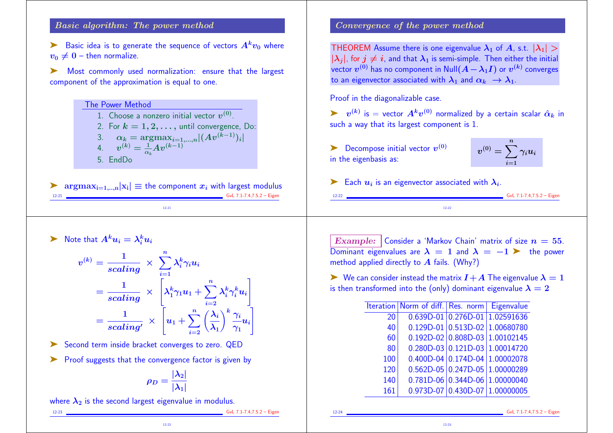## Basic algorithm: The power method

Basic idea is to generate the sequence of vectors  $A^kv_0$  where  $v_0 \neq 0$  – then normalize.

➤ Most commonly used normalization: ensure that the largest component of the approximation is equal to one.

> The Power Method 1. Choose a nonzero initial vector  $\boldsymbol{v}^{(0)}$ . 2. For  $k = 1, 2, \ldots$ , until convergence, Do: 3.  $\alpha_k = \text{argmax}_{i=1,...,n} |(Av^{(k-1)})_i|$ 4.  $v^{(k)} = \frac{1}{\alpha}$  $\frac{1}{\alpha_k}Av^{(k-1)}$ 5. EndDo

 $\sum_{12:21} \mathop{\mathrm{argmax}}_{i=1,\ldots,n} |x_i| \equiv \text{the component } x_i \text{ with largest modulus}$ 12-21 GvL 7.1-7.4,7.5.2 – Eigen 12-21

# $\blacktriangleright$  Note that  $A^k u_i = \lambda_i^k u_i$

$$
v^{(k)} = \frac{1}{scaling} \times \sum_{i=1}^{n} \lambda_i^k \gamma_i u_i
$$
  
= 
$$
\frac{1}{scaling} \times \left[ \lambda_1^k \gamma_1 u_1 + \sum_{i=2}^{n} \lambda_i^k \gamma_i^k u_i \right]
$$
  
= 
$$
\frac{1}{scaling} \times \left[ u_1 + \sum_{i=2}^{n} \left( \frac{\lambda_i}{\lambda_1} \right)^k \frac{\gamma_i}{\gamma_1} u_i \right]
$$

➤ Second term inside bracket converges to zero. QED

➤ Proof suggests that the convergence factor is given by

$$
\rho_D = \frac{|\lambda_2|}{|\lambda_1|}
$$

12-23

where  $\lambda_2$  is the second largest eigenvalue in modulus.

12-23 GvL 7.1-7.4,7.5.2 – Eigen

Convergence of the power method

THEOREM Assume there is one eigenvalue  $\lambda_1$  of A, s.t.  $|\lambda_1|$  >  $|\lambda_i|$ , for  $j \neq i$ , and that  $\lambda_1$  is semi-simple. Then either the initial vector  $v^{(0)}$  has no component in  $\mathsf{Null}(A-\lambda_1 I)$  or  $v^{(k)}$  converges to an eigenvector associated with  $\lambda_1$  and  $\alpha_k \to \lambda_1$ .

Proof in the diagonalizable case.

 $\blacktriangleright\hspace{0.25cm} v^{(k)}$  is  $=$  vector  $A^kv^{(0)}$  normalized by a certain scalar  $\hat{\alpha}_k$  in such a way that its largest component is 1.

 $\blacktriangleright$  Decompose initial vector  $v^{(0)}$ in the eigenbasis as:

$$
v^{(0)}=\sum_{i=1}^n\gamma_iu_i
$$

 $6vL$  7.1-7.4,7.5.2 – Eigen

Each  $u_i$  is an eigenvector associated with  $\lambda_i$ .

Example: Consider a 'Markov Chain' matrix of size  $n = 55$ . Dominant eigenvalues are  $\lambda = 1$  and  $\lambda = -1$   $\triangleright$  the power method applied directly to  $\vec{A}$  fails. (Why?)

12-22

 $\triangleright$  We can consider instead the matrix  $I+A$  The eigenvalue  $\lambda = 1$ is then transformed into the (only) dominant eigenvalue  $\lambda = 2$ 

|     | Iteration Norm of diff. Res. norm Eigenvalue |                                          |
|-----|----------------------------------------------|------------------------------------------|
| 20  |                                              | 0.639D-01 0.276D-01 1.02591636           |
| 40  |                                              | $0.129D - 01   0.513D - 02   1.00680780$ |
| 60  |                                              | $0.192D-02$ 0.808D-03 1.00102145         |
| 80  |                                              | $0.280D-03$ 0.121D-03 1.00014720         |
| 100 |                                              | $0.400D-04$ 0.174D-04 1.00002078         |
| 120 |                                              | $0.562D - 05$ 0.247D-05 1.00000289       |
| 140 |                                              | $0.781D-06$ 0.344D-06 1.00000040         |
| 161 |                                              | $0.973D-07$ 0.430D-07 1.00000005         |

12-24